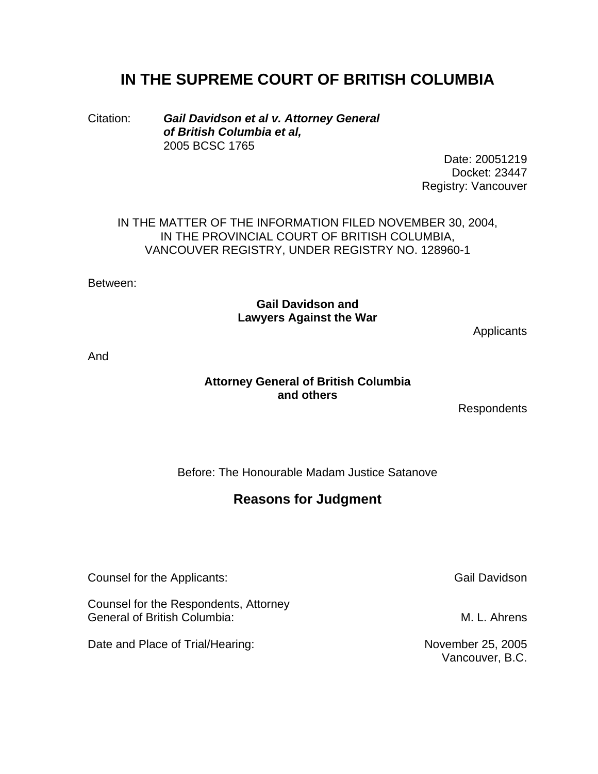## **IN THE SUPREME COURT OF BRITISH COLUMBIA**

Citation: *Gail Davidson et al v. Attorney General of British Columbia et al,* 2005 BCSC 1765

> Date: 20051219 Docket: 23447 Registry: Vancouver

IN THE MATTER OF THE INFORMATION FILED NOVEMBER 30, 2004, IN THE PROVINCIAL COURT OF BRITISH COLUMBIA, VANCOUVER REGISTRY, UNDER REGISTRY NO. 128960-1

Between:

**Gail Davidson and Lawyers Against the War** 

**Applicants** 

And

## **Attorney General of British Columbia and others**

**Respondents** 

Before: The Honourable Madam Justice Satanove

## **Reasons for Judgment**

Counsel for the Applicants: Gail Davidson

Counsel for the Respondents, Attorney General of British Columbia: M. L. Ahrens

Date and Place of Trial/Hearing: November 25, 2005

Vancouver, B.C.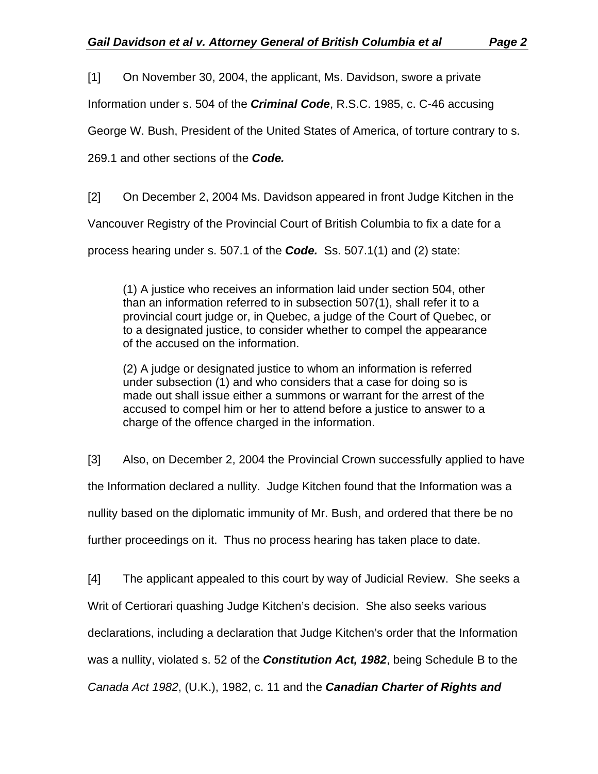[1] On November 30, 2004, the applicant, Ms. Davidson, swore a private

Information under s. 504 of the *Criminal Code*, R.S.C. 1985, c. C-46 accusing

George W. Bush, President of the United States of America, of torture contrary to s.

269.1 and other sections of the *Code.* 

[2] On December 2, 2004 Ms. Davidson appeared in front Judge Kitchen in the

Vancouver Registry of the Provincial Court of British Columbia to fix a date for a

process hearing under s. 507.1 of the *Code.* Ss. 507.1(1) and (2) state:

(1) A justice who receives an information laid under section 504, other than an information referred to in subsection 507(1), shall refer it to a provincial court judge or, in Quebec, a judge of the Court of Quebec, or to a designated justice, to consider whether to compel the appearance of the accused on the information.

(2) A judge or designated justice to whom an information is referred under subsection (1) and who considers that a case for doing so is made out shall issue either a summons or warrant for the arrest of the accused to compel him or her to attend before a justice to answer to a charge of the offence charged in the information.

[3] Also, on December 2, 2004 the Provincial Crown successfully applied to have the Information declared a nullity. Judge Kitchen found that the Information was a nullity based on the diplomatic immunity of Mr. Bush, and ordered that there be no further proceedings on it. Thus no process hearing has taken place to date.

[4] The applicant appealed to this court by way of Judicial Review. She seeks a Writ of Certiorari quashing Judge Kitchen's decision. She also seeks various declarations, including a declaration that Judge Kitchen's order that the Information was a nullity, violated s. 52 of the *Constitution Act, 1982*, being Schedule B to the *Canada Act 1982*, (U.K.), 1982, c. 11 and the *Canadian Charter of Rights and*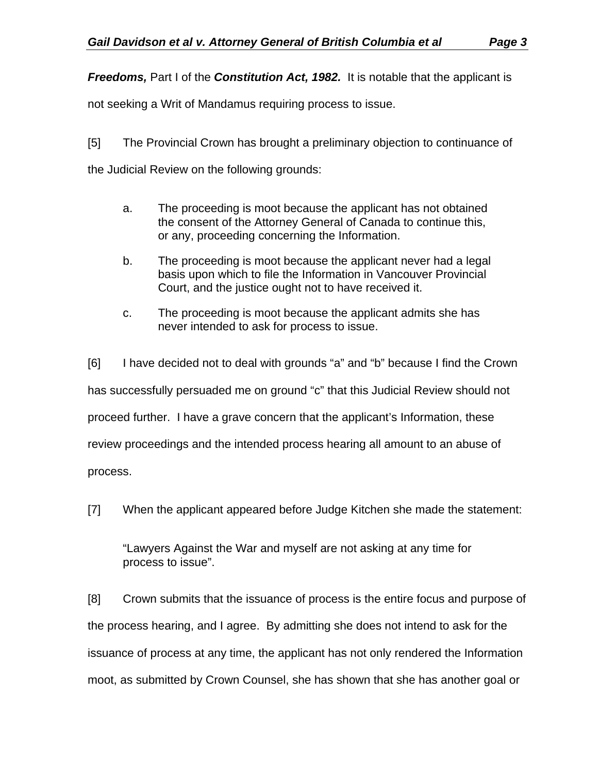*Freedoms, Part I of the Constitution Act, 1982.* It is notable that the applicant is

not seeking a Writ of Mandamus requiring process to issue.

[5] The Provincial Crown has brought a preliminary objection to continuance of

the Judicial Review on the following grounds:

- a. The proceeding is moot because the applicant has not obtained the consent of the Attorney General of Canada to continue this, or any, proceeding concerning the Information.
- b. The proceeding is moot because the applicant never had a legal basis upon which to file the Information in Vancouver Provincial Court, and the justice ought not to have received it.
- c. The proceeding is moot because the applicant admits she has never intended to ask for process to issue.

[6] I have decided not to deal with grounds "a" and "b" because I find the Crown has successfully persuaded me on ground "c" that this Judicial Review should not proceed further. I have a grave concern that the applicant's Information, these review proceedings and the intended process hearing all amount to an abuse of process.

[7] When the applicant appeared before Judge Kitchen she made the statement:

"Lawyers Against the War and myself are not asking at any time for process to issue".

[8] Crown submits that the issuance of process is the entire focus and purpose of the process hearing, and I agree. By admitting she does not intend to ask for the issuance of process at any time, the applicant has not only rendered the Information moot, as submitted by Crown Counsel, she has shown that she has another goal or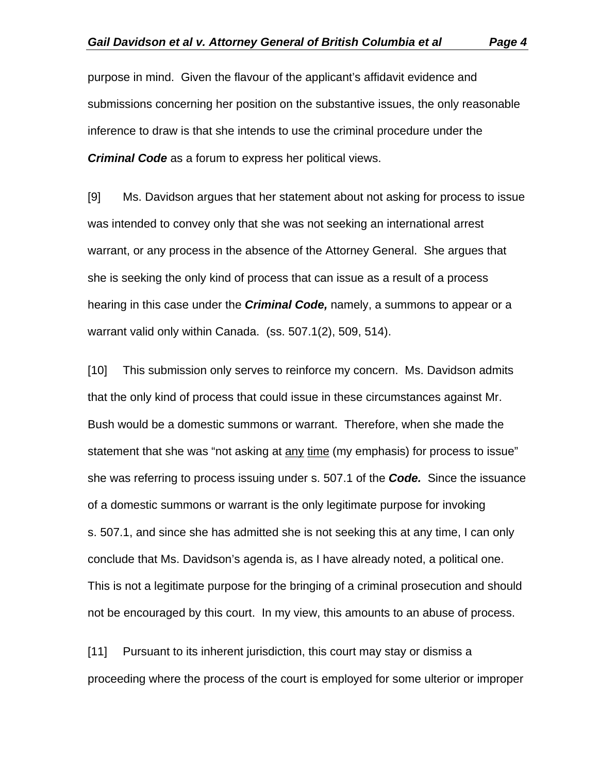purpose in mind. Given the flavour of the applicant's affidavit evidence and submissions concerning her position on the substantive issues, the only reasonable inference to draw is that she intends to use the criminal procedure under the *Criminal Code* as a forum to express her political views.

[9] Ms. Davidson argues that her statement about not asking for process to issue was intended to convey only that she was not seeking an international arrest warrant, or any process in the absence of the Attorney General. She argues that she is seeking the only kind of process that can issue as a result of a process hearing in this case under the *Criminal Code,* namely, a summons to appear or a warrant valid only within Canada. (ss. 507.1(2), 509, 514).

[10] This submission only serves to reinforce my concern. Ms. Davidson admits that the only kind of process that could issue in these circumstances against Mr. Bush would be a domestic summons or warrant. Therefore, when she made the statement that she was "not asking at any time (my emphasis) for process to issue" she was referring to process issuing under s. 507.1 of the *Code.* Since the issuance of a domestic summons or warrant is the only legitimate purpose for invoking s. 507.1, and since she has admitted she is not seeking this at any time, I can only conclude that Ms. Davidson's agenda is, as I have already noted, a political one. This is not a legitimate purpose for the bringing of a criminal prosecution and should not be encouraged by this court. In my view, this amounts to an abuse of process.

[11] Pursuant to its inherent jurisdiction, this court may stay or dismiss a proceeding where the process of the court is employed for some ulterior or improper